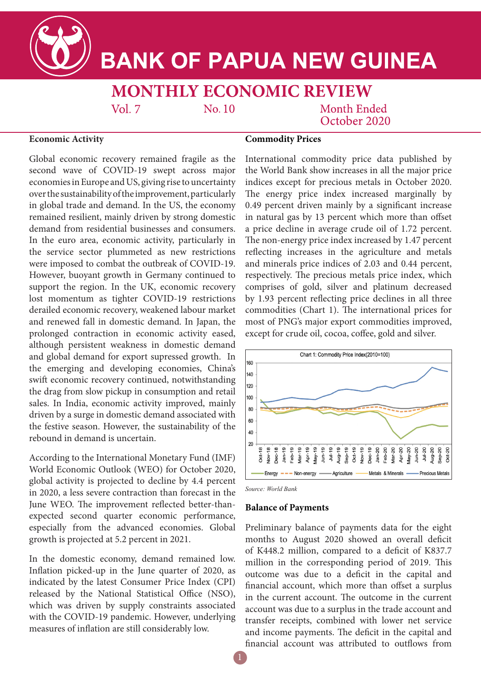

# **BANK OF PAPUA NEW GUINEA**

# **MONTHLY ECONOMIC REVIEW**

 $No.10$ 

Month Ended October 2020

### **Economic Activity**

Global economic recovery remained fragile as the second wave of COVID-19 swept across major economies in Europe and US, giving rise to uncertainty over the sustainability of the improvement, particularly in global trade and demand. In the US, the economy remained resilient, mainly driven by strong domestic demand from residential businesses and consumers. In the euro area, economic activity, particularly in the service sector plummeted as new restrictions were imposed to combat the outbreak of COVID-19. However, buoyant growth in Germany continued to support the region. In the UK, economic recovery lost momentum as tighter COVID-19 restrictions derailed economic recovery, weakened labour market and renewed fall in domestic demand. In Japan, the prolonged contraction in economic activity eased, although persistent weakness in domestic demand and global demand for export supressed growth. In the emerging and developing economies, China's swift economic recovery continued, notwithstanding the drag from slow pickup in consumption and retail sales. In India, economic activity improved, mainly driven by a surge in domestic demand associated with the festive season. However, the sustainability of the rebound in demand is uncertain.

 $Vol. 7$ 

According to the International Monetary Fund (IMF) World Economic Outlook (WEO) for October 2020, global activity is projected to decline by 4.4 percent in 2020, a less severe contraction than forecast in the June WEO. The improvement reflected better-thanexpected second quarter economic performance, especially from the advanced economies. Global growth is projected at 5.2 percent in 2021.

In the domestic economy, demand remained low. Inflation picked-up in the June quarter of 2020, as indicated by the latest Consumer Price Index (CPI) released by the National Statistical Office (NSO), which was driven by supply constraints associated with the COVID-19 pandemic. However, underlying measures of inflation are still considerably low.

## **Commodity Prices**

International commodity price data published by the World Bank show increases in all the major price indices except for precious metals in October 2020. The energy price index increased marginally by 0.49 percent driven mainly by a significant increase in natural gas by 13 percent which more than offset a price decline in average crude oil of 1.72 percent. The non-energy price index increased by 1.47 percent reflecting increases in the agriculture and metals and minerals price indices of 2.03 and 0.44 percent, respectively. The precious metals price index, which comprises of gold, silver and platinum decreased by 1.93 percent reflecting price declines in all three commodities (Chart 1). The international prices for most of PNG's major export commodities improved, except for crude oil, cocoa, coffee, gold and silver.



*Source: World Bank*

#### **Balance of Payments**

Preliminary balance of payments data for the eight months to August 2020 showed an overall deficit of K448.2 million, compared to a deficit of K837.7 million in the corresponding period of 2019. This outcome was due to a deficit in the capital and financial account, which more than offset a surplus in the current account. The outcome in the current account was due to a surplus in the trade account and transfer receipts, combined with lower net service and income payments. The deficit in the capital and financial account was attributed to outflows from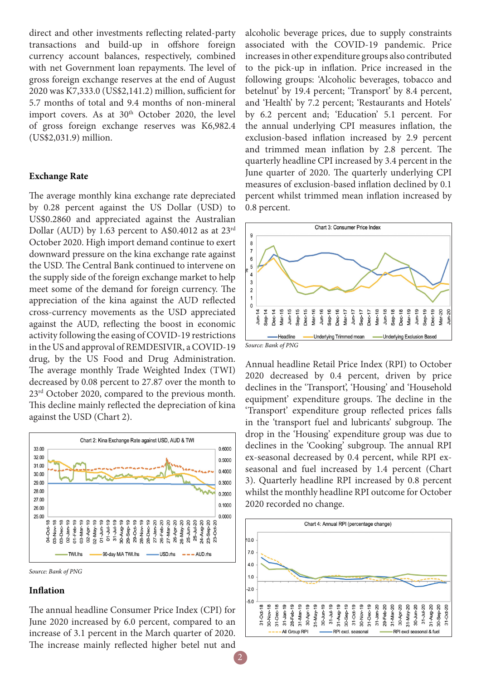direct and other investments reflecting related-party transactions and build-up in offshore foreign currency account balances, respectively, combined with net Government loan repayments. The level of gross foreign exchange reserves at the end of August 2020 was K7,333.0 (US\$2,141.2) million, sufficient for 5.7 months of total and 9.4 months of non-mineral import covers. As at 30<sup>th</sup> October 2020, the level of gross foreign exchange reserves was K6,982.4 (US\$2,031.9) million.

#### **Exchange Rate**

The average monthly kina exchange rate depreciated by 0.28 percent against the US Dollar (USD) to US\$0.2860 and appreciated against the Australian Dollar (AUD) by 1.63 percent to A\$0.4012 as at 23rd October 2020. High import demand continue to exert downward pressure on the kina exchange rate against the USD. The Central Bank continued to intervene on the supply side of the foreign exchange market to help meet some of the demand for foreign currency. The appreciation of the kina against the AUD reflected cross-currency movements as the USD appreciated against the AUD, reflecting the boost in economic activity following the easing of COVID-19 restrictions in the US and approval of REMDESIVIR, a COVID-19 drug, by the US Food and Drug Administration. The average monthly Trade Weighted Index (TWI) decreased by 0.08 percent to 27.87 over the month to 23rd October 2020, compared to the previous month. This decline mainly reflected the depreciation of kina against the USD (Chart 2).



*Source: Bank of PNG*

#### **Inflation**

The annual headline Consumer Price Index (CPI) for June 2020 increased by 6.0 percent, compared to an increase of 3.1 percent in the March quarter of 2020. The increase mainly reflected higher betel nut and

alcoholic beverage prices, due to supply constraints associated with the COVID-19 pandemic. Price increases in other expenditure groups also contributed to the pick-up in inflation. Price increased in the following groups: 'Alcoholic beverages, tobacco and betelnut' by 19.4 percent; 'Transport' by 8.4 percent, and 'Health' by 7.2 percent; 'Restaurants and Hotels' by 6.2 percent and; 'Education' 5.1 percent. For the annual underlying CPI measures inflation, the exclusion-based inflation increased by 2.9 percent and trimmed mean inflation by 2.8 percent. The quarterly headline CPI increased by 3.4 percent in the June quarter of 2020. The quarterly underlying CPI measures of exclusion-based inflation declined by 0.1 percent whilst trimmed mean inflation increased by 0.8 percent.



Annual headline Retail Price Index (RPI) to October 2020 decreased by 0.4 percent, driven by price declines in the 'Transport', 'Housing' and 'Household equipment' expenditure groups. The decline in the 'Transport' expenditure group reflected prices falls in the 'transport fuel and lubricants' subgroup. The drop in the 'Housing' expenditure group was due to declines in the 'Cooking' subgroup. The annual RPI ex-seasonal decreased by 0.4 percent, while RPI exseasonal and fuel increased by 1.4 percent (Chart 3). Quarterly headline RPI increased by 0.8 percent whilst the monthly headline RPI outcome for October 2020 recorded no change.

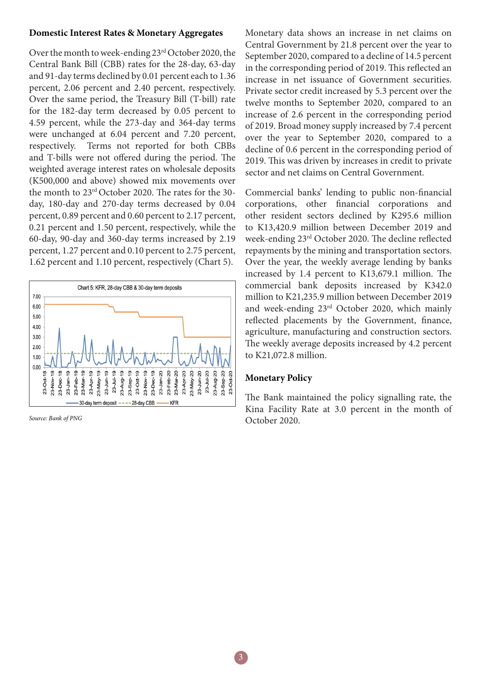#### **Domestic Interest Rates & Monetary Aggregates**

Over the month to week-ending 23rd October 2020, the Central Bank Bill (CBB) rates for the 28-day, 63-day and 91-day terms declined by 0.01 percent each to 1.36 percent, 2.06 percent and 2.40 percent, respectively. Over the same period, the Treasury Bill (T-bill) rate for the 182-day term decreased by 0.05 percent to 4.59 percent, while the 273-day and 364-day terms were unchanged at 6.04 percent and 7.20 percent, respectively. Terms not reported for both CBBs and T-bills were not offered during the period. The weighted average interest rates on wholesale deposits (K500,000 and above) showed mix movements over the month to 23rd October 2020. The rates for the 30 day, 180-day and 270-day terms decreased by 0.04 percent, 0.89 percent and 0.60 percent to 2.17 percent, 0.21 percent and 1.50 percent, respectively, while the 60-day, 90-day and 360-day terms increased by 2.19 percent, 1.27 percent and 0.10 percent to 2.75 percent, 1.62 percent and 1.10 percent, respectively (Chart 5).



*Source: Bank of PNG*

Monetary data shows an increase in net claims on Central Government by 21.8 percent over the year to September 2020, compared to a decline of 14.5 percent in the corresponding period of 2019. This reflected an increase in net issuance of Government securities. Private sector credit increased by 5.3 percent over the twelve months to September 2020, compared to an increase of 2.6 percent in the corresponding period of 2019. Broad money supply increased by 7.4 percent over the year to September 2020, compared to a decline of 0.6 percent in the corresponding period of 2019. This was driven by increases in credit to private sector and net claims on Central Government.

Commercial banks' lending to public non-financial corporations, other financial corporations and other resident sectors declined by K295.6 million to K13,420.9 million between December 2019 and week-ending 23rd October 2020. The decline reflected repayments by the mining and transportation sectors. Over the year, the weekly average lending by banks increased by 1.4 percent to K13,679.1 million. The commercial bank deposits increased by K342.0 million to K21,235.9 million between December 2019 and week-ending 23rd October 2020, which mainly reflected placements by the Government, finance, agriculture, manufacturing and construction sectors. The weekly average deposits increased by 4.2 percent to K21,072.8 million.

#### **Monetary Policy**

The Bank maintained the policy signalling rate, the Kina Facility Rate at 3.0 percent in the month of October 2020.